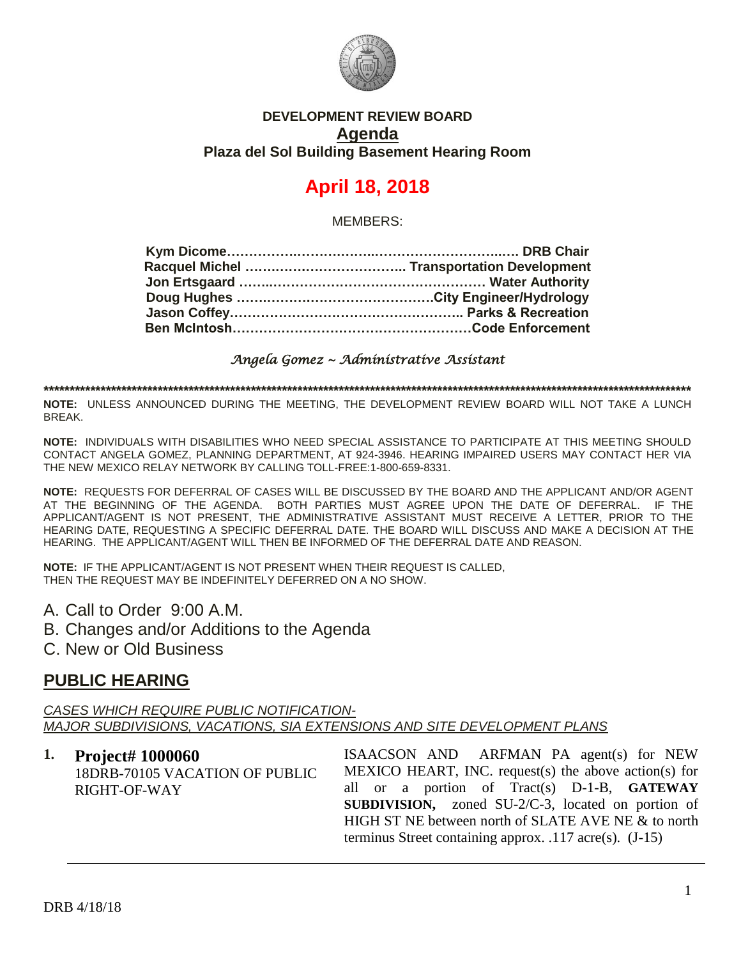

#### **DEVELOPMENT REVIEW BOARD Agenda Plaza del Sol Building Basement Hearing Room**

# **April 18, 2018**

MEMBERS:

#### *Angela Gomez ~ Administrative Assistant*

**\*\*\*\*\*\*\*\*\*\*\*\*\*\*\*\*\*\*\*\*\*\*\*\*\*\*\*\*\*\*\*\*\*\*\*\*\*\*\*\*\*\*\*\*\*\*\*\*\*\*\*\*\*\*\*\*\*\*\*\*\*\*\*\*\*\*\*\*\*\*\*\*\*\*\*\*\*\*\*\*\*\*\*\*\*\*\*\*\*\*\*\*\*\*\*\*\*\*\*\*\*\*\*\*\*\*\*\*\*\*\*\*\*\*\*\*\*\*\*\*\*\*\*\*\***

**NOTE:** UNLESS ANNOUNCED DURING THE MEETING, THE DEVELOPMENT REVIEW BOARD WILL NOT TAKE A LUNCH BREAK.

**NOTE:** INDIVIDUALS WITH DISABILITIES WHO NEED SPECIAL ASSISTANCE TO PARTICIPATE AT THIS MEETING SHOULD CONTACT ANGELA GOMEZ, PLANNING DEPARTMENT, AT 924-3946. HEARING IMPAIRED USERS MAY CONTACT HER VIA THE NEW MEXICO RELAY NETWORK BY CALLING TOLL-FREE:1-800-659-8331.

**NOTE:** REQUESTS FOR DEFERRAL OF CASES WILL BE DISCUSSED BY THE BOARD AND THE APPLICANT AND/OR AGENT AT THE BEGINNING OF THE AGENDA. BOTH PARTIES MUST AGREE UPON THE DATE OF DEFERRAL. IF THE APPLICANT/AGENT IS NOT PRESENT, THE ADMINISTRATIVE ASSISTANT MUST RECEIVE A LETTER, PRIOR TO THE HEARING DATE, REQUESTING A SPECIFIC DEFERRAL DATE. THE BOARD WILL DISCUSS AND MAKE A DECISION AT THE HEARING. THE APPLICANT/AGENT WILL THEN BE INFORMED OF THE DEFERRAL DATE AND REASON.

**NOTE:** IF THE APPLICANT/AGENT IS NOT PRESENT WHEN THEIR REQUEST IS CALLED, THEN THE REQUEST MAY BE INDEFINITELY DEFERRED ON A NO SHOW.

- A. Call to Order 9:00 A.M.
- B. Changes and/or Additions to the Agenda
- C. New or Old Business

## **PUBLIC HEARING**

*CASES WHICH REQUIRE PUBLIC NOTIFICATION-MAJOR SUBDIVISIONS, VACATIONS, SIA EXTENSIONS AND SITE DEVELOPMENT PLANS*

**1. Project# 1000060** 18DRB-70105 VACATION OF PUBLIC RIGHT-OF-WAY

ISAACSON AND ARFMAN PA agent(s) for NEW MEXICO HEART, INC. request(s) the above action(s) for all or a portion of Tract(s) D-1-B, **GATEWAY SUBDIVISION,** zoned SU-2/C-3, located on portion of HIGH ST NE between north of SLATE AVE NE & to north terminus Street containing approx. .117 acre(s). (J-15)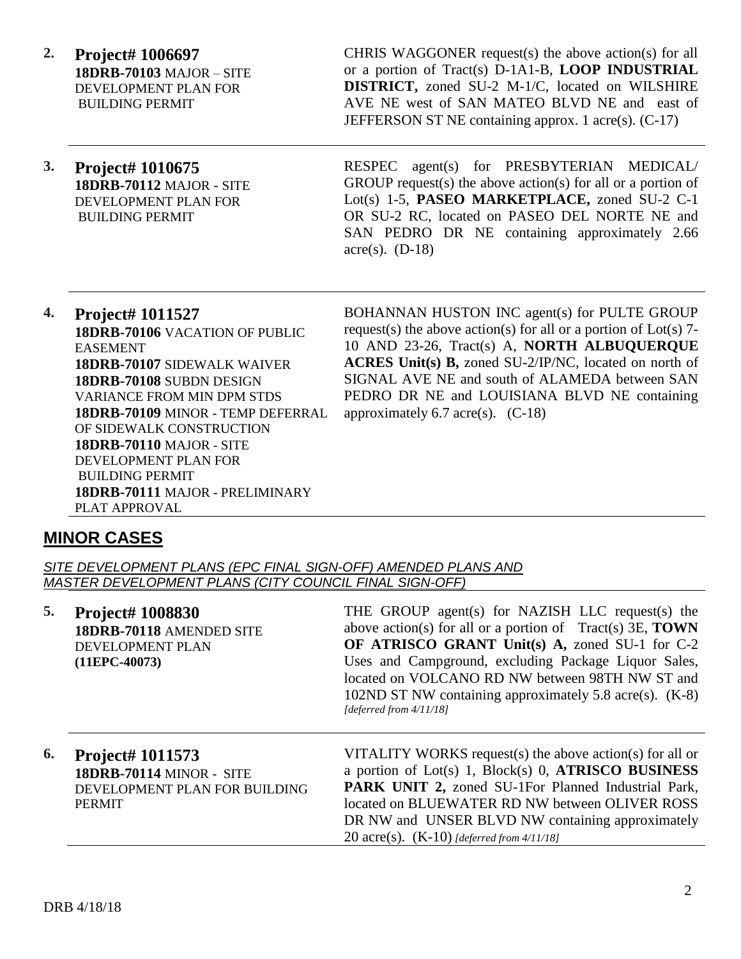**2. Project# 1006697 18DRB-70103** MAJOR – SITE DEVELOPMENT PLAN FOR BUILDING PERMIT

CHRIS WAGGONER request(s) the above action(s) for all or a portion of Tract(s) D-1A1-B, **LOOP INDUSTRIAL DISTRICT,** zoned SU-2 M-1/C, located on WILSHIRE AVE NE west of SAN MATEO BLVD NE and east of JEFFERSON ST NE containing approx. 1 acre(s). (C-17)

**3. Project# 1010675 18DRB-70112** MAJOR - SITE DEVELOPMENT PLAN FOR BUILDING PERMIT

RESPEC agent(s) for PRESBYTERIAN MEDICAL/ GROUP request(s) the above action(s) for all or a portion of Lot(s) 1-5, **PASEO MARKETPLACE,** zoned SU-2 C-1 OR SU-2 RC, located on PASEO DEL NORTE NE and SAN PEDRO DR NE containing approximately 2.66  $\text{acre}(s)$ . (D-18)

**4. Project# 1011527 18DRB-70106** VACATION OF PUBLIC EASEMENT **18DRB-70107** SIDEWALK WAIVER **18DRB-70108** SUBDN DESIGN VARIANCE FROM MIN DPM STDS **18DRB-70109** MINOR - TEMP DEFERRAL OF SIDEWALK CONSTRUCTION **18DRB-70110** MAJOR - SITE DEVELOPMENT PLAN FOR BUILDING PERMIT **18DRB-70111** MAJOR - PRELIMINARY PLAT APPROVAL

BOHANNAN HUSTON INC agent(s) for PULTE GROUP request(s) the above action(s) for all or a portion of Lot(s) 7-10 AND 23-26, Tract(s) A, **NORTH ALBUQUERQUE ACRES Unit(s) B,** zoned SU-2/IP/NC, located on north of SIGNAL AVE NE and south of ALAMEDA between SAN PEDRO DR NE and LOUISIANA BLVD NE containing approximately  $6.7$  acre(s).  $(C-18)$ 

## **MINOR CASES**

*SITE DEVELOPMENT PLANS (EPC FINAL SIGN-OFF) AMENDED PLANS AND MASTER DEVELOPMENT PLANS (CITY COUNCIL FINAL SIGN-OFF)*

| 5. | <b>Project# 1008830</b><br>18DRB-70118 AMENDED SITE<br>DEVELOPMENT PLAN<br>$(11EPC-40073)$                   | THE GROUP agent(s) for NAZISH LLC request(s) the<br>above action(s) for all or a portion of $Tract(s)$ 3E, <b>TOWN</b><br>OF ATRISCO GRANT Unit(s) A, zoned SU-1 for C-2<br>Uses and Campground, excluding Package Liquor Sales,<br>located on VOLCANO RD NW between 98TH NW ST and<br>102ND ST NW containing approximately 5.8 acre(s). $(K-8)$<br>[deferred from $4/11/18$ ] |
|----|--------------------------------------------------------------------------------------------------------------|--------------------------------------------------------------------------------------------------------------------------------------------------------------------------------------------------------------------------------------------------------------------------------------------------------------------------------------------------------------------------------|
| 6. | <b>Project# 1011573</b><br><b>18DRB-70114 MINOR - SITE</b><br>DEVELOPMENT PLAN FOR BUILDING<br><b>PERMIT</b> | VITALITY WORKS request(s) the above action(s) for all or<br>a portion of Lot(s) 1, Block(s) 0, ATRISCO BUSINESS<br><b>PARK UNIT 2, zoned SU-1For Planned Industrial Park,</b><br>located on BLUEWATER RD NW between OLIVER ROSS<br>DR NW and UNSER BLVD NW containing approximately<br>20 acre(s). $(K-10)$ [deferred from 4/11/18]                                            |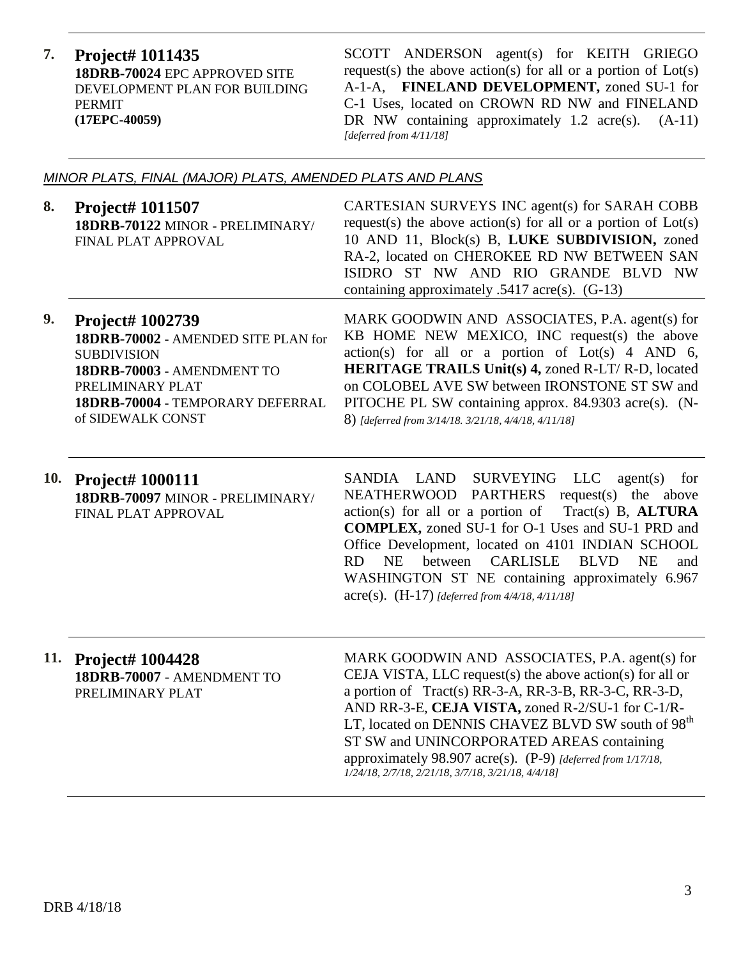**7. Project# 1011435 18DRB-70024** EPC APPROVED SITE DEVELOPMENT PLAN FOR BUILDING PERMIT **(17EPC-40059)**

SCOTT ANDERSON agent(s) for KEITH GRIEGO request(s) the above action(s) for all or a portion of  $Lot(s)$ A-1-A, **FINELAND DEVELOPMENT,** zoned SU-1 for C-1 Uses, located on CROWN RD NW and FINELAND DR NW containing approximately 1.2 acre(s).  $(A-11)$ *[deferred from 4/11/18]*

#### *MINOR PLATS, FINAL (MAJOR) PLATS, AMENDED PLATS AND PLANS*

| 8. | Project# 1011507<br>18DRB-70122 MINOR - PRELIMINARY/<br>FINAL PLAT APPROVAL                                                                                                                     | CARTESIAN SURVEYS INC agent(s) for SARAH COBB<br>request(s) the above action(s) for all or a portion of $Lot(s)$<br>10 AND 11, Block(s) B, LUKE SUBDIVISION, zoned<br>RA-2, located on CHEROKEE RD NW BETWEEN SAN<br>ISIDRO ST NW AND RIO GRANDE BLVD NW<br>containing approximately .5417 acre(s). $(G-13)$                                                                            |
|----|-------------------------------------------------------------------------------------------------------------------------------------------------------------------------------------------------|-----------------------------------------------------------------------------------------------------------------------------------------------------------------------------------------------------------------------------------------------------------------------------------------------------------------------------------------------------------------------------------------|
| 9. | <b>Project# 1002739</b><br>18DRB-70002 - AMENDED SITE PLAN for<br><b>SUBDIVISION</b><br>18DRB-70003 - AMENDMENT TO<br>PRELIMINARY PLAT<br>18DRB-70004 - TEMPORARY DEFERRAL<br>of SIDEWALK CONST | MARK GOODWIN AND ASSOCIATES, P.A. agent(s) for<br>KB HOME NEW MEXICO, INC request(s) the above<br>$action(s)$ for all or a portion of $Lot(s)$ 4 AND 6,<br><b>HERITAGE TRAILS Unit(s) 4, zoned R-LT/ R-D, located</b><br>on COLOBEL AVE SW between IRONSTONE ST SW and<br>PITOCHE PL SW containing approx. 84.9303 acre(s). (N-<br>8) [deferred from 3/14/18. 3/21/18, 4/4/18, 4/11/18] |

**10. Project# 1000111 18DRB-70097** MINOR - PRELIMINARY/ FINAL PLAT APPROVAL

SANDIA LAND SURVEYING LLC agent(s) for NEATHERWOOD PARTHERS request(s) the above action(s) for all or a portion of Tract(s) B, **ALTURA COMPLEX,** zoned SU-1 for O-1 Uses and SU-1 PRD and Office Development, located on 4101 INDIAN SCHOOL RD NE between CARLISLE BLVD NE and WASHINGTON ST NE containing approximately 6.967 acre(s). (H-17) *[deferred from 4/4/18, 4/11/18]*

**11. Project# 1004428 18DRB-70007** - AMENDMENT TO PRELIMINARY PLAT

MARK GOODWIN AND ASSOCIATES, P.A. agent(s) for CEJA VISTA, LLC request(s) the above action(s) for all or a portion of Tract(s) RR-3-A, RR-3-B, RR-3-C, RR-3-D, AND RR-3-E, **CEJA VISTA,** zoned R-2/SU-1 for C-1/R-LT, located on DENNIS CHAVEZ BLVD SW south of 98<sup>th</sup> ST SW and UNINCORPORATED AREAS containing approximately 98.907 acre(s). (P-9) *[deferred from 1/17/18, 1/24/18, 2/7/18, 2/21/18, 3/7/18, 3/21/18, 4/4/18]*